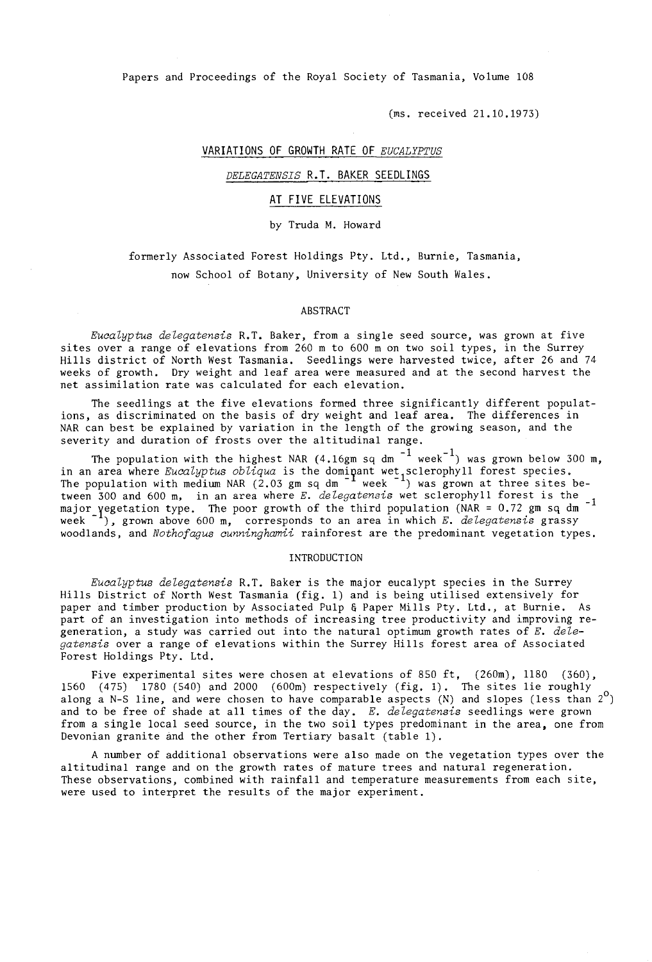Papers and Proceedings of the Royal Society of Tasmania, Volume 108

(ms. received 21.10.1973)

## VARIATIONS OF GROWTH RATE OF *EUCALYPTUS*

## *DELEGATENSIS* R.T. BAKER SEEDLINGS

### AT FIVE ELEVATIONS

by Truda M. Howard

formerly Associated Forest Holdings Pty. Ltd., Burnie, Tasmania, now School of Botany, University of New South Wales.

### ABSTRACT

*Eucalyptus delegatensis* R.T. Baker, from a single seed source, was grown at five sites over a range of elevations from 260 m to 600 m on two soil types, in the Surrey Hills district of North West Tasmania. Seedlings were harvested twice, after 26 and 74 weeks of growth. Dry weight and leaf area were measured and at the second harvest the net assimilation rate was calculated for each elevation.

The seedlings at the five elevations formed three significantly different populations, as discriminated on the basis of dry weight and leaf area. The differences in NAR can best be explained by variation in the length of the growing season, and the severity and duration of frosts over the altitudinal range.

The population with the highest NAR (4.16gm sq dm  $^{-1}$  week<sup>-1</sup>) was grown below 300 m, in an area where *Eucalyptus obliqua* is the dominant wet sclerophyll forest species. The population with medium NAR (2.03 gm sq dm  $^{-1}$  week  $^{-1}$ ) was grown at three sites between 300 and 600 m, in an area where *E. delegatensis* wet sclerophyll forest is the major yegetation type. The poor growth of the third population (NAR = 0.72 gm sq dm week<sup>-1</sup>), grown above 600 m, corresponds to an area in which *E. delegatensis* grassy woodlands, and *Nothofagus cunninghamii* rainforest are the predominant vegetation types.

#### INTRODUCTION

*Eucalyptus delegatensis* R.T. Baker is the major eucalypt species in the Surrey Hills District of North West Tasmania (fig. 1) and is being utilised extensively for paper and timber production by Associated Pulp & Paper Mills Pty. Ltd., at Burnie. As part of an investigation into methods of increasing tree productivity and improving regeneration, a study was carried out into the natural optimum growth rates of *E. delegatensis* over a range of elevations within the Surrey Hills forest area of Associated Forest Holdings Pty. Ltd.

Five experimental sites were chosen at elevations of 850 ft, (260m), 1180 (360), 1560  $(475)$  1780 (540) and 2000 (600m) respectively (fig. 1). The sites lie roughly along a N-S line, and were chosen to have comparable aspects  $(N)$  and slopes (less than  $2^{\circ}$ ) and to be free of shade at all times of the day. *E. delegatensis* seedlings were grown from a single local seed source, in the two soil types predominant in the area, one from Devonian granite and the other from Tertiary basalt (table 1).

A number of additional observations were also made on the vegetation types over the altitudinal range and on the growth rates of mature trees and natural regeneration. These observations, combined with rainfall and temperature measurements from each site, were used to interpret the results of the major experiment.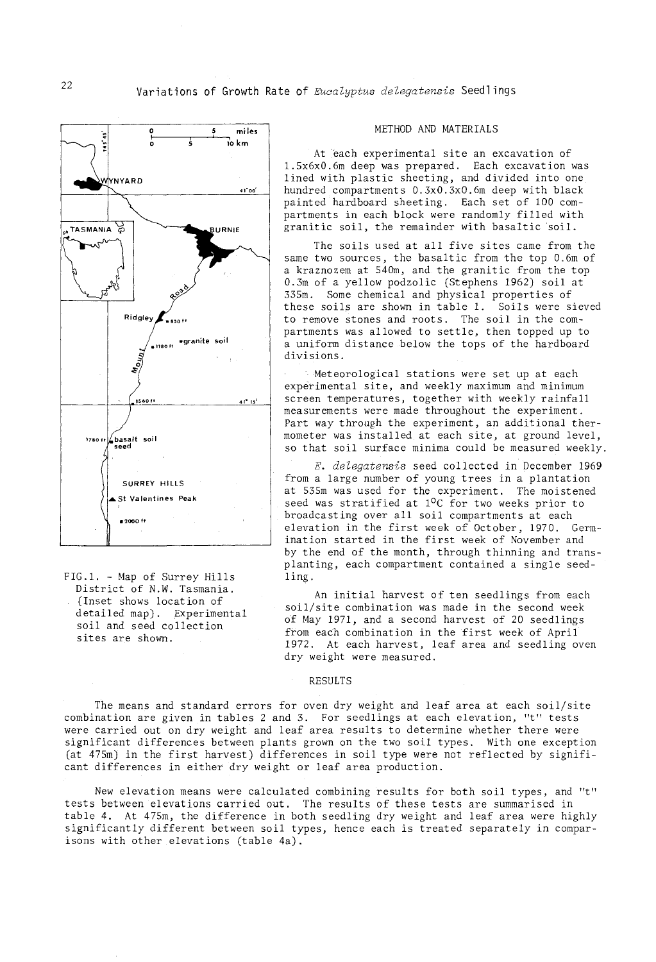

FIG.1. - Map of Surrey Hills District of N.W. Tasmania. (Inset shows location of detailed map). Experimental soil and seed collection sites are shown.

### METHOD AND MATERIALS

At each experimental site an excavation of 1.5x6xO.6m deep was prepared. Each excavation was lined with plastic sheeting, and divided into one hundred compartments O.3xO.3xO.6m deep with black painted hardboard sheeting. Each set of 100 compartments in each block were randomly filled with granitic soil, the remainder with basaltic soil.

The soils used at all five sites came from the same two sources, the basaltic from the top 0.6m of a kraznozem at 54Om, and the granitic from the top 0.3m of a yellow podzolic (Stephens 1962) soil at 335m. Some chemical and physical properties of these soils are shown in table 1. Soils were sieved to remove stones and roots. The soil in the compartments was allowed to settle, then topped up to a uniform distance below the tops of the hardboard divisions.

Meteorological stations were set up at each experimental site, and weekly maximum and minimum screen temperatures, together with weekly rainfall measurements were made throughout the experiment. Part way through the experiment, an additional thermometer was installed at each site, at ground level, so that soil surface minima could be measured weekly.

*E. delegatensis* seed collected in' pecember 1969 from a large number of young trees in a plantation at 535m was used for the experiment. The moistened seed was stratified at  $10C$  for two weeks prior to broadcasting over all soil compartments at each elevation in the first week of October, 1970. Germination started in the first week of November and by the end of the month, through thinning and transplanting, each compartment contained a single seedling.

An initial harvest of ten seedlings from each  $soil/site$  combination was made in the second week of May 1971, and a second harvest of 20 seedlings from each combination in the first week of April 1972. At each harvest, leaf area and seedling oven dry weight were measured.

## RESULTS

The means and standard errors for oven dry weight and leaf area at each soil/site combination are. given in tables 2 and 3. For seedlings at each elevation, "t" tests were carried out on dry weight and leaf area results to determine whether there were significant differences between plants grown on the two soil types. With one exception (at  $475m$ ) in the first harvest) differences in soil type were not reflected by significant differences in either dry weight or leaf area production.

New elevation means were calculated combining results for both soil types, and "t" tests between elevations carried out. The results of these tests are summarised in table 4. At 475m, the difference in both seedling dry weight and leaf area were highly significantly different between soil types, hence each is treated separately in comparisons with other elevations (table 4a).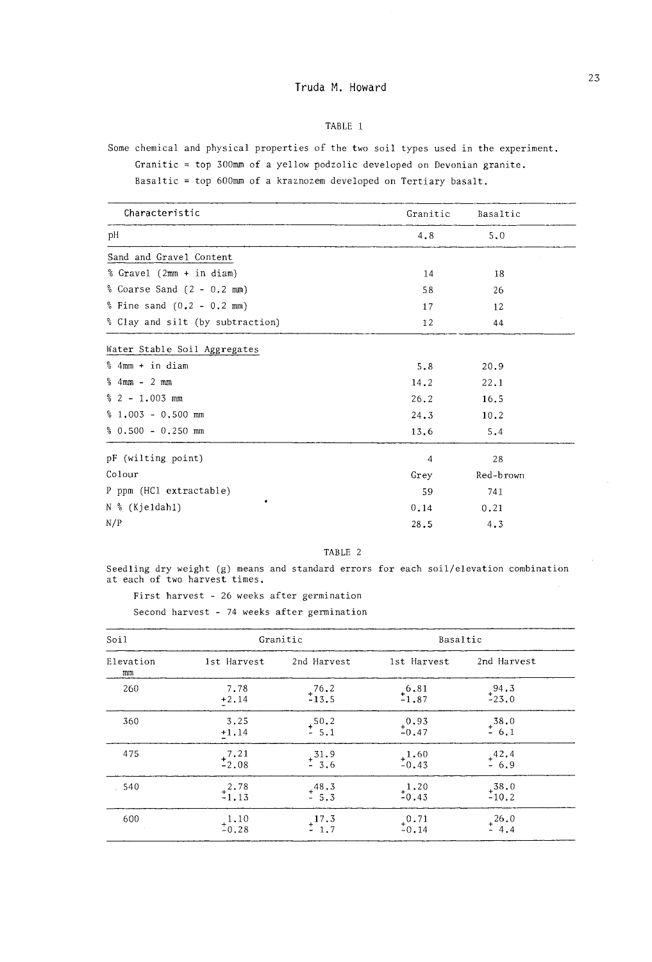# TABLE 1

Some chemical and physical properties of the two soil types used in the experiment.

Granitic  $=$  top 300mm of a yellow podzolic developed on Devonian granite.

Basaltic = top 600mm of a kraznozem developed on Tertiary basalt.

| Characteristic                   | Granitic | Basaltic  |  |
|----------------------------------|----------|-----------|--|
| рH                               | 4.8      | 5.0       |  |
| Sand and Gravel Content          |          |           |  |
| % Gravel (2mm + in diam)         | 14       | 18        |  |
| % Coarse Sand $(2 - 0.2$ mm)     | 58       | 26        |  |
| $$$ Fine sand $(0.2 - 0.2$ mm)   | 17       | 12        |  |
| % Clay and silt (by subtraction) | 12       | 44        |  |
| Water Stable Soil Aggregates     |          |           |  |
| % 4mm + in diam                  | 5.8      | 20.9      |  |
| $%$ 4mm - 2 mm                   | 14.2     | 22.1      |  |
| $% 2 - 1.003$ mm                 | 26.2     | 16.5      |  |
| $% 1.003 - 0.500$ mm             | 24.3     | 10.2      |  |
| $% 0.500 - 0.250$ mm             | 13.6     | 5.4       |  |
| pF (wilting point)               | 4        | 28        |  |
| Colour                           | Grey     | Red-brown |  |
| P ppm (HC1 extractable)          | 59       | 741       |  |
| N % (Kjeldahl)                   | 0.14     | 0.21      |  |
| N/P                              | 28.5     | 4.3       |  |

# TABLE 2

Seedling dry weight (g) means and standard errors for each soil/elevation combination at each of two harvest times.

First harvest - 26 weeks after germination

Second harvest - 74 weeks after germination

| Soil            |                    | Granitic             | Basaltic           |                    |  |  |  |
|-----------------|--------------------|----------------------|--------------------|--------------------|--|--|--|
| Elevation<br>mn | 1st Harvest        | 2nd Harvest          | 1st Harvest        | 2nd Harvest        |  |  |  |
| 260             | 7.78<br>$+2.14$    | $^{+76.2}_{-13.5}$   | $^{+6.81}_{-1.87}$ | $^{+94.3}_{-23.0}$ |  |  |  |
| 360             | 3.25<br>$+1.14$    | $+ \frac{50.2}{5.1}$ | $^{+0.93}_{-0.47}$ | $^{+38.0}_{-6.1}$  |  |  |  |
| 475             | $^{7.21}_{-2.08}$  | $^{+31.9}_{-3.6}$    | $^{+1.60}_{-0.43}$ | $^{+42.4}_{-6.9}$  |  |  |  |
| 540             | $^{+2.78}_{-1.13}$ | $^{+48.3}_{-5.3}$    | $^{1.20}_{-0.43}$  | $^{+38.0}_{-10.2}$ |  |  |  |
| 600             | $^{1.10}_{-0.28}$  | $^{+17.3}_{-1.7}$    | $^{+0.71}_{-0.14}$ | $^{+26.0}_{-4.4}$  |  |  |  |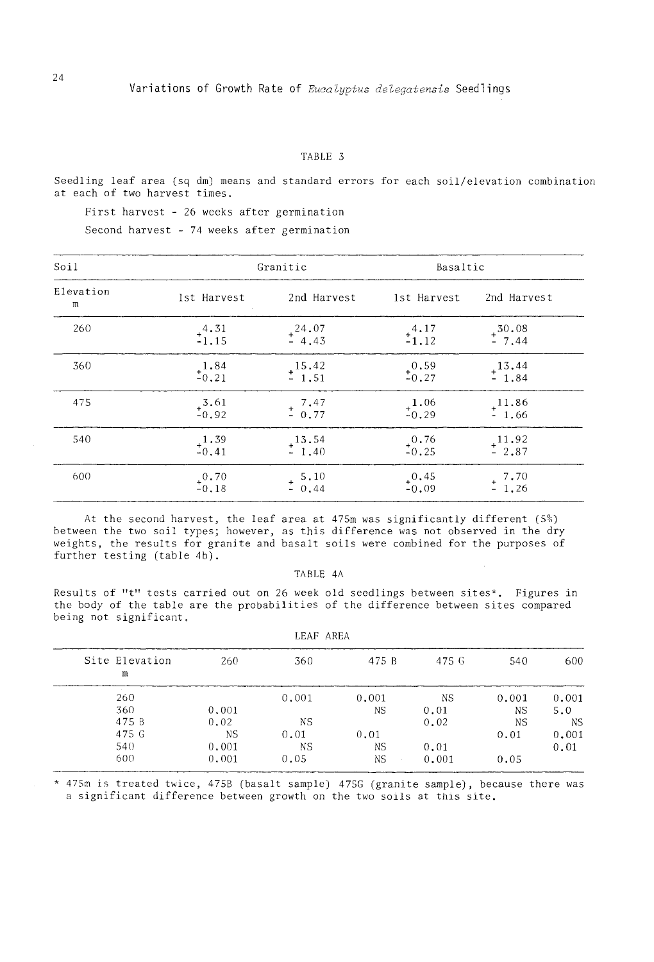#### TABLE 3

Seedling leaf area (sq dm) means and standard errors for each soil/elevation combination at each of two harvest times.

First harvest - 26 weeks after germination

Second harvest - 74 weeks after germination

| Soi1           |                    | Granitic                                      | Basaltic           |                               |  |  |
|----------------|--------------------|-----------------------------------------------|--------------------|-------------------------------|--|--|
| Elevation<br>m | 1st Harvest        | 2nd Harvest                                   | 1st Harvest        | 2nd Harvest                   |  |  |
| 260            | $^{4.31}_{-1.15}$  | $^{+24.07}_{-4.43}$                           | $^{4.17}_{-1.12}$  | $+ \frac{30.08}{7.44}$        |  |  |
| 360            | $^{1.84}_{-0.21}$  | $+\frac{15.42}{1.51}$                         | $^{0.59}_{-0.27}$  | $^{+13.44}_{-1.84}$           |  |  |
| 475            | $^{13.61}_{-0.92}$ | $+ 7.47$<br>$- 0.77$                          | $^{+1.06}_{-0.29}$ | $^{+11.86}_{-1.66}$           |  |  |
| 540            | $^{1.39}_{-0.41}$  | $^{+13.54}_{-1.40}$                           | $^{+0.76}_{-0.25}$ | $^{+11.92}_{-2.87}$           |  |  |
| 600            | $^{+0.70}_{-0.18}$ | $\begin{array}{cc} 5.10 \\ -0.44 \end{array}$ | $^{+0.45}_{-0.09}$ | $\frac{+}{-}$ 7.70<br>$-1.26$ |  |  |

At the second harvest, the leaf area at 475m was significantly different (5%) between the two soil types; however, as this difference was not observed in the dry weights, the results for granite and basalt soils were combined for the purposes of further testing (table 4b).

### TABLE 4A

Results of "t" tests carried out on 26 week old seedlings between sites\*. Figures in the body of the table are the probabilities of the difference between sites compared being not significant.

| 600       | 540       | 475 G | 475 B | 360       | 260       | Site Elevation<br>m |
|-----------|-----------|-------|-------|-----------|-----------|---------------------|
| 0.001     | 0.001     | NS.   | 0.001 | 0.001     |           | 260                 |
| 5.0       | <b>NS</b> | 0.01  | ΝS    |           | 0.001     | 360                 |
| <b>NS</b> | <b>NS</b> | 0.02  |       | <b>NS</b> | 0.02      | 475 B               |
| 0,001     | 0.01      |       | 0.01  | 0.01      | <b>NS</b> | 475 G               |
| 0.01      |           | 0.01  | ΝS    | <b>NS</b> | 0.001     | 540                 |
|           | 0.05      | 0.001 | ΝS    | 0.05      | 0.001     | 600                 |

LEAF AREA

\* 475m is treated twice, 475B (basalt sample) 475G (granite sample), because there was a significant difference between growth on the two soils at this site.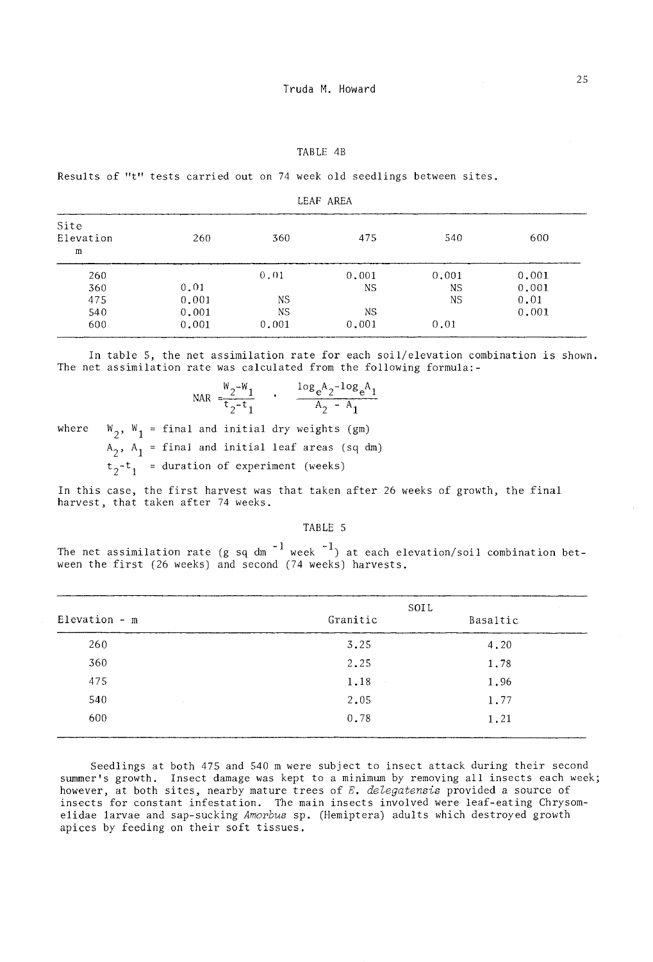#### TABLE 4B

Results of "t" tests carried out on 74 week old seedlings between sites.

LEAF AREA

| Site<br>Elevation<br>m | 260   | 360       | 475   | 540       | 600   |
|------------------------|-------|-----------|-------|-----------|-------|
| 260                    |       | 0.01      | 0.001 | 0.001     | 0.001 |
| 360                    | 0.01  |           | NS    | <b>NS</b> | 0.001 |
| 475                    | 0.001 | NS.       |       | NS        | 0.01  |
| 540                    | 0.001 | <b>NS</b> | ΝS    |           | 0.001 |
| 600                    | 0.001 | 0.001     | 0.001 | 0.01      |       |

In table 5, the net assimilation rate for each soil/elevation combination is shown. The net assimilation rate was calculated from the following formula:-

$$
\text{NAR} = \frac{W_2 - W_1}{t_2 - t_1} \qquad \frac{log_e A_2 - log_e A_1}{A_2 - A_1}
$$

where  $W_2$ ,  $W_1$  = final and initial dry weights (gm)

 $A_2$ ,  $A_1$  = final and initial leaf areas (sq dm)

 $t_2-t_1$  = duration of experiment (weeks)

In this case, the first harvest was that taken after <sup>26</sup> weeks of growth, the final harvest, that taken after 74 weeks.

### TABLE 5

The net assimilation rate (g sq dm  $^{\rm -1}$  week  $^{\rm -1})$  at each elevation/soil combination between the first (26 weeks) and second (74 weeks) harvests.

|                       | SOIL     |          |
|-----------------------|----------|----------|
| $Elevantion - m$      | Granitic | Basaltic |
| 260                   | 3.25     | 4,20     |
| 360                   | 2.25     | 1.78     |
| 475                   | 1.18     | 1,96     |
| 540<br><b>College</b> | 2.05     | 1.77     |
| 600                   | 0.78     | 1.21     |
|                       |          |          |

Seedlings at both 475 and 540 m were subject to insect attack during their second summer's growth. Insect damage was kept to a minimum by removing all insects each week; however, at both sites, nearby mature trees of *E. delegatensis* provided a source of insects for constant infestation. The main insects involved were leaf-eating Chrysomelidae larvae and sap-sucking *Amorbus* sp. (Hemiptera) adults which destroyed growth apices by feeding on their soft tissues.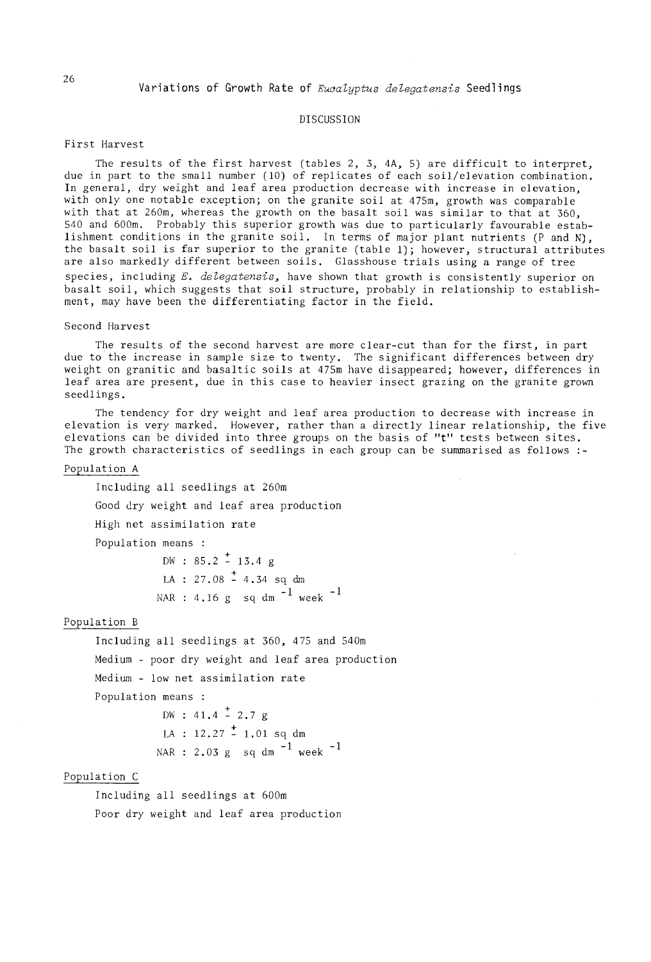## DISCUSSION

# First Harvest

The results of the first harvest (tables 2, 3, 4A, 5) are difficult to interpret, due in part to the small number (10) of replicates of each soil/elevation combination. In general, dry weight and leaf area production decrease with increase in elevation, with only one notable exception; on the granite soil at 475m, growth was comparable with that at 260m, whereas the growth on the basalt soil was similar to that at 360, 540 and 600m. Probably this superior growth was due to particularly favourable establishment conditions in the granite soil. In terms of major plant nutrients (P and N), the basalt soil is far superior to the granite (table 1); however, structural attributes are also markedly different between soils. Glasshouse trials using a range of tree species, including  $E$ . delegatensis, have shown that growth is consistently superior on basalt soil, which suggests that soil structure, probably in relationship to establishment, may have been the differentiating factor in the field.

### Second Harvest

The results of the second harvest are more clear-cut than for the first, in part due to the increase in sample size to twenty. The significant differences between dry weight on granitic and basaltic soils at 475m have disappeared; however, differences in leaf area are present, due in this case to heavier insect grazing on the granite grown seedlings.

The tendency for dry weight and leaf area production to decrease with increase in elevation is very marked. However, rather than a directly linear relationship, the five elevations can be divided into three groups on the basis of"t" tests between sites. The growth characteristics of seedlings in each group can be summarised as follows **:-**

### Population A

Including all seedlings at 260m Good dry weight and leaf area production High net assimilation rate Population means : DW :  $85.2 \div 13.4$  g LA : 27.08 - 4.34 sq dm

NAR : 4.16 g  $\,$  sq dm  $^{-1}$  week  $^{-1}$ 

# Population B

Including all seedlings at 360, 475 and 540m Medium - poor dry weight and leaf area production Medium - low net assimilation rate Population means

> $DW: 41.4 \div 2.7 g$ LA :  $12.27 \div 1.01$  sq dm NAR :  $2.03$  g sq dm  $^{-1}$  week  $^{-1}$

# Population C

Including all seedlings at 600m Poor dry weight and leaf area production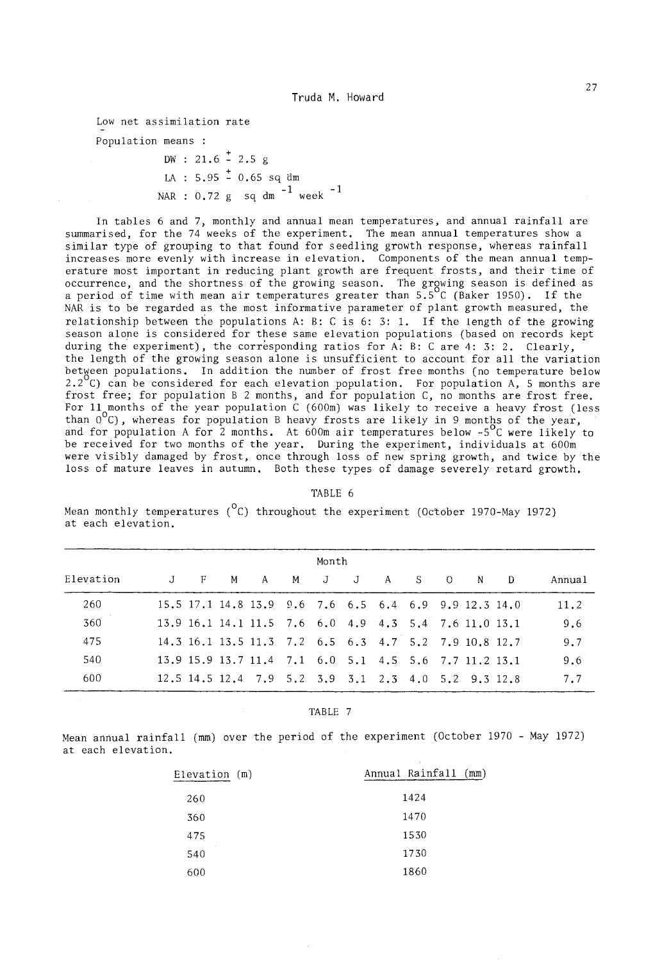Low net assimilation rate

Population means :

 $DW: 21.6 \div 2.5 g$  $LA : 5.95 \div 0.65$  sq dm NAR : 0.72 g  $\,$  sq dm  $^{-1}$  week  $^{-1}$ 

In tables 6 and 7, monthly and annual mean temperatures, and annual rainfall are summarised, for the 74 weeks of the experiment. The mean annual temperatures show a similar type of grouping to that found for seedling growth response, whereas rainfall increases more evenly with increase in elevation. Components of the mean annual temperature most important in reducing plant growth are frequent frosts, and their time of occurrence, and the shortness of the growing season. The growing season is defined as a period of time with mean air temperatures greater than 5.5<sup>o</sup>C (Baker 1950). If the NAR is to be regarded as the most informative parameter of plant growth measured, the relationship between the populations A: B: C is 6: 3: 1. If the length of the growing season alone is considered for these same elevation populations (based on records kept during the experiment), the corresponding ratios for A: B: C are 4: 3: 2. Clearly, the length of the growing season alone is unsufficient to account for all the variation between populations. In addition the number of frost free months (no temperature below 2.2 $^{\circ}$ C) can be considered for each elevation population. For population A, 5 months are frost free; for population B 2 months, and for population  $C$ , no months are frost free. For 11 months of the year population C (600m) was likely to receive a heavy frost (less than  $0^{\circ}$ C), whereas for population B heavy frosts are likely in 9 months of the year, and for population A for 2 months. At 600m air temperatures below  $-5^{\circ}$ C were likely to be received for two months of the year. During the experiment, individuals at 600m were visibly damaged by frost, once through loss of new spring growth, and twice by the loss of mature leaves in autumn. Both these types of damage severely retard growth.

### TABLE 6

Mean monthly temperatures  $(^0C)$  throughout the experiment (October 1970-May 1972) at each elevation.

| Month     |                |    |     |                                                       |  |           |  |                |     |        |
|-----------|----------------|----|-----|-------------------------------------------------------|--|-----------|--|----------------|-----|--------|
| Elevation | $J$ and $\sim$ | F. | - M | A                                                     |  | M J J A S |  | $\overline{0}$ | N D | Annual |
| 260       |                |    |     | 15.5 17.1 14.8 13.9 9.6 7.6 6.5 6.4 6.9 9.9 12.3 14.0 |  |           |  |                |     | 11.2   |
| 360       |                |    |     | 13.9 16.1 14.1 11.5 7.6 6.0 4.9 4.3 5.4 7.6 11.0 13.1 |  |           |  |                |     | 9.6    |
| 475       |                |    |     | 14.3 16.1 13.5 11.3 7.2 6.5 6.3 4.7 5.2 7.9 10.8 12.7 |  |           |  |                |     | 9.7    |
| 540       |                |    |     | 13.9 15.9 13.7 11.4 7.1 6.0 5.1 4.5 5.6 7.7 11.2 13.1 |  |           |  |                |     | 9.6    |
| 600       |                |    |     | 12.5 14.5 12.4 7.9 5.2 3.9 3.1 2.3 4.0 5.2 9.3 12.8   |  |           |  |                |     | 7.7    |

### TABLE 7

Mean annual rainfall (mm) over the period of the experiment (October 1970 - May 1972) at each elevation.

| Elevation (m) | Annual Rainfall (mm) |
|---------------|----------------------|
| 260           | 1424                 |
| 360           | 1470                 |
| 475           | 1530                 |
| 540           | 1730                 |
| 600           | 1860                 |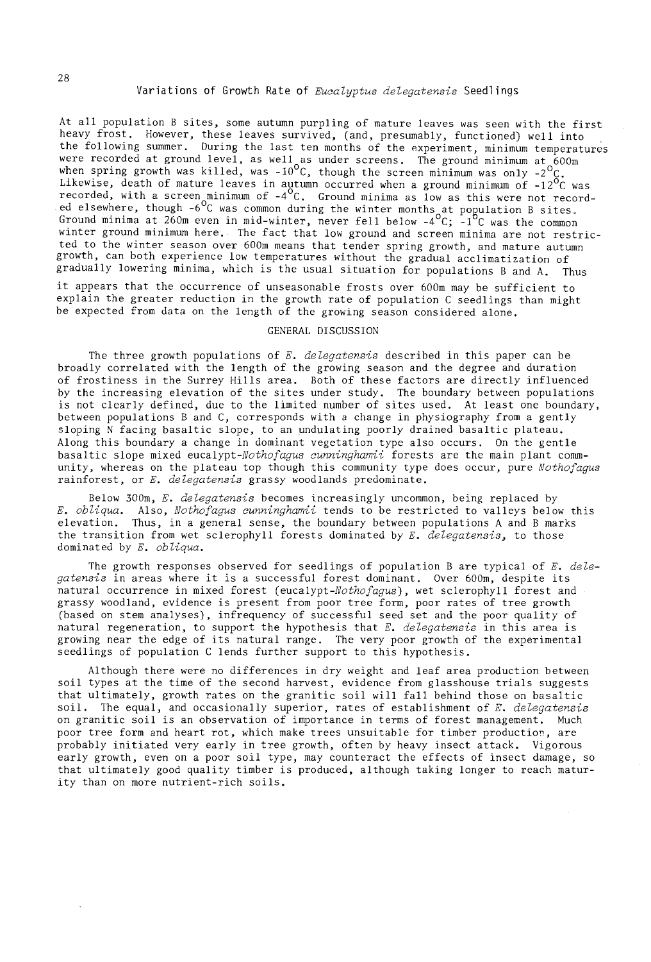At all population B sites, some autumn purpling of mature leaves was seen with the first heavy frost. However, these leaves survived, (and, presumably, functioned) well into the following summer. During the last ten months of the experiment, minimum temperatures were recorded at ground level, as well as under screens. The ground minimum at  $600\text{m}$ when spring growth was killed, was -10<sup>o</sup>C, though the screen minimum was only -2<sup>o</sup>C. Likewise, death of mature leaves in autumn occurred when a ground minimum of -12 $^{\text{O}}$ C was recorded, with a screen minimum of  $-4^{\circ}$ C. Ground minima as low as this were not recorded elsewhere, though  $-6^{\circ}$ C was common during the winter months at population B sites. Ground minima at 260m even in mid-winter, never fell below  $-4^{\circ}C$ ;  $-1^{\circ}C$  was the common winter ground minimum here. The fact that low ground and screen minima are not restricted to the winter season over 600m means that tender spring growth, and mature autumn growth, can both experience low temperatures without the gradual acclimatization of gradually lowering minima, which is the usual situation for populations Band A. Thus it appears that the occurrence of unseasonable frosts over 600m may be sufficient to

explain the greater reduction in the growth rate of population C seedlings than might be expected from data on the length of the growing season considered alone.

### GENERAL DISCUSSION

The three growth populations of *E. delegatensis* described in this paper can be broadly correlated with the length of the growing season and the degree and duration of frostiness in the Surrey Hills area. Both of these factors are directly influenced by the increasing elevation of the sites under study. The boundary between populations is not clearly defined, due to the limited number of sites used. At least one boundary, between populations Band C, corresponds with a change in physiography from a gently sloping N facing basaltic slope, to an undulating poorly drained basaltic plateau. Along this boundary a change in dominant vegetation type also occurs. On the gentle basaltic slope mixed *eucalypt-Nothofagus cunninghamii* forests are the main plant community, whereas on the plateau top though this community type does occur, pure *Nothofagus* rainforest, or *E. delegatensis* grassy woodlands predominate.

Below 300m, *E. delegatensis* becomes increasingly uncommon, being replaced by *E. obliqua.* Also, *Nothofagus cunninghamii* tends to be restricted to valleys below this elevation. Thus, in a general sense, the boundary between populations A and B marks the transition from wet sclerophyll forests dominated by *E. delegatensis*, to those dominated by *E. obliqua.*

The growth responses observed for seedlings of population B are typical of *E. delegatensis* in areas where it is <sup>a</sup> successful forest dominant. Over 600m, despite its natural occurrence in mixed forest *(eucalypt-Nothofagus)* , wet sclerophyll forest and grassy woodland, evidence is present from poor tree form, poor rates of tree growth (based on stem analyses), infrequency of successful seed set and the poor quality of natural regeneration, to support the hypothesis that *E. delegatensis* in this area is growing near the edge of its natural range. The very poor growth of the experimental seedlings of population C lends further support to this hypothesis.

Although there were no differences in dry weight and leaf area production between soil types at the time of the second harvest, evidence from glasshouse trials suggests that ultimately, growth rates on the granitic soil will fall behind those on basaltic soil. The equal, and occasionally superior, rates of establishment of *E. delegatensis* on granitic soil is an observation of importance in terms of forest management. Much poor tree form and heart rot, which make trees unsuitable for timber production, are probably initiated very early in tree growth, often by heavy insect attack. Vigorous early growth, even on a poor soil type, may counteract the effects of insect damage, so that ultimately good quality timber is produced, although taking longer to reach maturity than on more nutrient-rich soils.

28